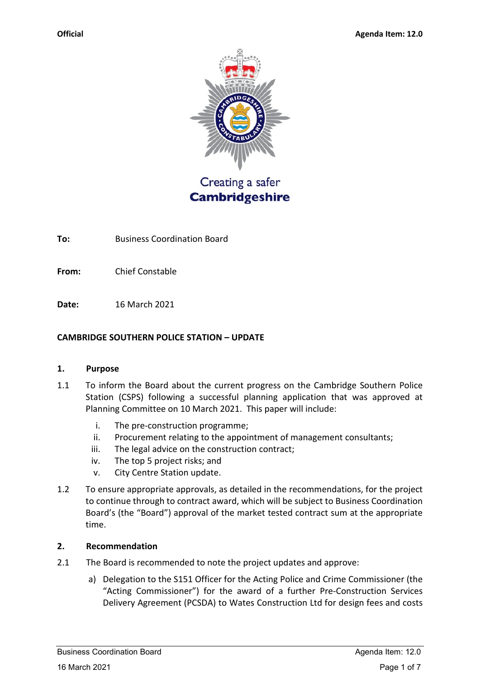

Creating a safer **Cambridgeshire** 

**To:** Business Coordination Board

**From:** Chief Constable

**Date:** 16 March 2021

### **CAMBRIDGE SOUTHERN POLICE STATION – UPDATE**

#### **1. Purpose**

- 1.1 To inform the Board about the current progress on the Cambridge Southern Police Station (CSPS) following a successful planning application that was approved at Planning Committee on 10 March 2021. This paper will include:
	- i. The pre-construction programme;
	- ii. Procurement relating to the appointment of management consultants;
	- iii. The legal advice on the construction contract;
	- iv. The top 5 project risks; and
	- v. City Centre Station update.
- 1.2 To ensure appropriate approvals, as detailed in the recommendations, for the project to continue through to contract award, which will be subject to Business Coordination Board's (the "Board") approval of the market tested contract sum at the appropriate time.

# **2. Recommendation**

- 2.1 The Board is recommended to note the project updates and approve:
	- a) Delegation to the S151 Officer for the Acting Police and Crime Commissioner (the "Acting Commissioner") for the award of a further Pre-Construction Services Delivery Agreement (PCSDA) to Wates Construction Ltd for design fees and costs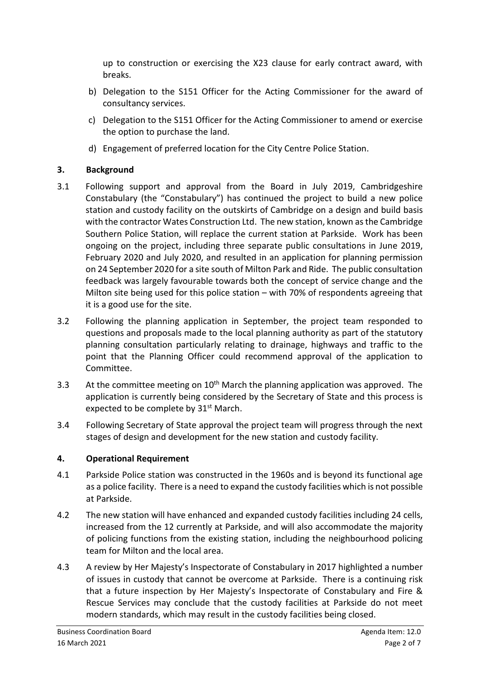up to construction or exercising the X23 clause for early contract award, with breaks.

- b) Delegation to the S151 Officer for the Acting Commissioner for the award of consultancy services.
- c) Delegation to the S151 Officer for the Acting Commissioner to amend or exercise the option to purchase the land.
- d) Engagement of preferred location for the City Centre Police Station.

# **3. Background**

- 3.1 Following support and approval from the Board in July 2019, Cambridgeshire Constabulary (the "Constabulary") has continued the project to build a new police station and custody facility on the outskirts of Cambridge on a design and build basis with the contractor Wates Construction Ltd. The new station, known as the Cambridge Southern Police Station, will replace the current station at Parkside. Work has been ongoing on the project, including three separate public consultations in June 2019, February 2020 and July 2020, and resulted in an application for planning permission on 24 September 2020 for a site south of Milton Park and Ride. The public consultation feedback was largely favourable towards both the concept of service change and the Milton site being used for this police station – with 70% of respondents agreeing that it is a good use for the site.
- 3.2 Following the planning application in September, the project team responded to questions and proposals made to the local planning authority as part of the statutory planning consultation particularly relating to drainage, highways and traffic to the point that the Planning Officer could recommend approval of the application to Committee.
- 3.3 At the committee meeting on  $10<sup>th</sup>$  March the planning application was approved. The application is currently being considered by the Secretary of State and this process is expected to be complete by 31<sup>st</sup> March.
- 3.4 Following Secretary of State approval the project team will progress through the next stages of design and development for the new station and custody facility.

# **4. Operational Requirement**

- 4.1 Parkside Police station was constructed in the 1960s and is beyond its functional age as a police facility. There is a need to expand the custody facilities which is not possible at Parkside.
- 4.2 The new station will have enhanced and expanded custody facilities including 24 cells, increased from the 12 currently at Parkside, and will also accommodate the majority of policing functions from the existing station, including the neighbourhood policing team for Milton and the local area.
- 4.3 A review by Her Majesty's Inspectorate of Constabulary in 2017 highlighted a number of issues in custody that cannot be overcome at Parkside. There is a continuing risk that a future inspection by Her Majesty's Inspectorate of Constabulary and Fire & Rescue Services may conclude that the custody facilities at Parkside do not meet modern standards, which may result in the custody facilities being closed.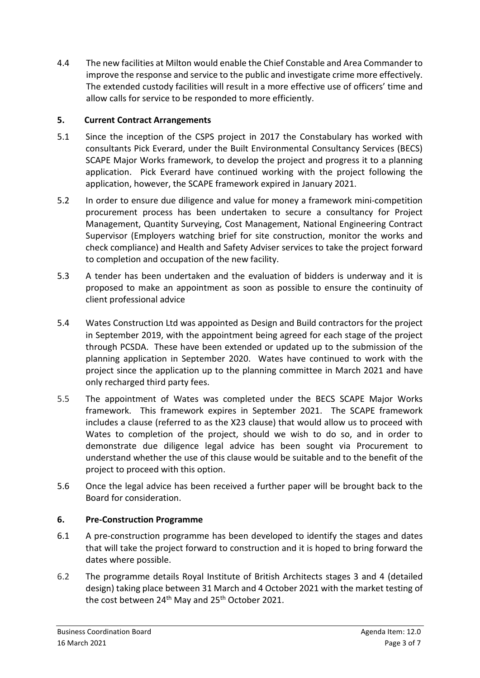4.4 The new facilities at Milton would enable the Chief Constable and Area Commander to improve the response and service to the public and investigate crime more effectively. The extended custody facilities will result in a more effective use of officers' time and allow calls for service to be responded to more efficiently.

# **5. Current Contract Arrangements**

- 5.1 Since the inception of the CSPS project in 2017 the Constabulary has worked with consultants Pick Everard, under the Built Environmental Consultancy Services (BECS) SCAPE Major Works framework, to develop the project and progress it to a planning application. Pick Everard have continued working with the project following the application, however, the SCAPE framework expired in January 2021.
- 5.2 In order to ensure due diligence and value for money a framework mini-competition procurement process has been undertaken to secure a consultancy for Project Management, Quantity Surveying, Cost Management, National Engineering Contract Supervisor (Employers watching brief for site construction, monitor the works and check compliance) and Health and Safety Adviser services to take the project forward to completion and occupation of the new facility.
- 5.3 A tender has been undertaken and the evaluation of bidders is underway and it is proposed to make an appointment as soon as possible to ensure the continuity of client professional advice
- 5.4 Wates Construction Ltd was appointed as Design and Build contractors for the project in September 2019, with the appointment being agreed for each stage of the project through PCSDA. These have been extended or updated up to the submission of the planning application in September 2020. Wates have continued to work with the project since the application up to the planning committee in March 2021 and have only recharged third party fees.
- 5.5 The appointment of Wates was completed under the BECS SCAPE Major Works framework. This framework expires in September 2021. The SCAPE framework includes a clause (referred to as the X23 clause) that would allow us to proceed with Wates to completion of the project, should we wish to do so, and in order to demonstrate due diligence legal advice has been sought via Procurement to understand whether the use of this clause would be suitable and to the benefit of the project to proceed with this option.
- 5.6 Once the legal advice has been received a further paper will be brought back to the Board for consideration.

# **6. Pre-Construction Programme**

- 6.1 A pre-construction programme has been developed to identify the stages and dates that will take the project forward to construction and it is hoped to bring forward the dates where possible.
- 6.2 The programme details Royal Institute of British Architects stages 3 and 4 (detailed design) taking place between 31 March and 4 October 2021 with the market testing of the cost between  $24<sup>th</sup>$  May and  $25<sup>th</sup>$  October 2021.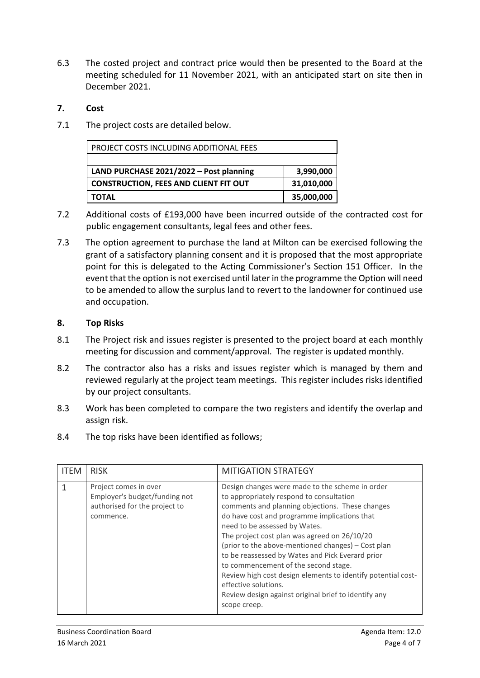6.3 The costed project and contract price would then be presented to the Board at the meeting scheduled for 11 November 2021, with an anticipated start on site then in December 2021.

### **7. Cost**

7.1 The project costs are detailed below.

| PROJECT COSTS INCLUDING ADDITIONAL FEES      |            |
|----------------------------------------------|------------|
|                                              |            |
| LAND PURCHASE 2021/2022 - Post planning      | 3,990,000  |
| <b>CONSTRUCTION, FEES AND CLIENT FIT OUT</b> | 31,010,000 |
| <b>TOTAL</b>                                 | 35,000,000 |

- 7.2 Additional costs of £193,000 have been incurred outside of the contracted cost for public engagement consultants, legal fees and other fees.
- 7.3 The option agreement to purchase the land at Milton can be exercised following the grant of a satisfactory planning consent and it is proposed that the most appropriate point for this is delegated to the Acting Commissioner's Section 151 Officer. In the event that the option is not exercised until later in the programme the Option will need to be amended to allow the surplus land to revert to the landowner for continued use and occupation.

#### **8. Top Risks**

- 8.1 The Project risk and issues register is presented to the project board at each monthly meeting for discussion and comment/approval. The register is updated monthly.
- 8.2 The contractor also has a risks and issues register which is managed by them and reviewed regularly at the project team meetings. This register includes risks identified by our project consultants.
- 8.3 Work has been completed to compare the two registers and identify the overlap and assign risk.
- 8.4 The top risks have been identified as follows;

| <b>ITEM</b> | <b>RISK</b>                                                                                          | <b>MITIGATION STRATEGY</b>                                                                                                                                                                                                                                                                                                                                                                                                                                                                                                                                                                        |
|-------------|------------------------------------------------------------------------------------------------------|---------------------------------------------------------------------------------------------------------------------------------------------------------------------------------------------------------------------------------------------------------------------------------------------------------------------------------------------------------------------------------------------------------------------------------------------------------------------------------------------------------------------------------------------------------------------------------------------------|
|             | Project comes in over<br>Employer's budget/funding not<br>authorised for the project to<br>commence. | Design changes were made to the scheme in order<br>to appropriately respond to consultation<br>comments and planning objections. These changes<br>do have cost and programme implications that<br>need to be assessed by Wates.<br>The project cost plan was agreed on 26/10/20<br>(prior to the above-mentioned changes) - Cost plan<br>to be reassessed by Wates and Pick Everard prior<br>to commencement of the second stage.<br>Review high cost design elements to identify potential cost-<br>effective solutions.<br>Review design against original brief to identify any<br>scope creep. |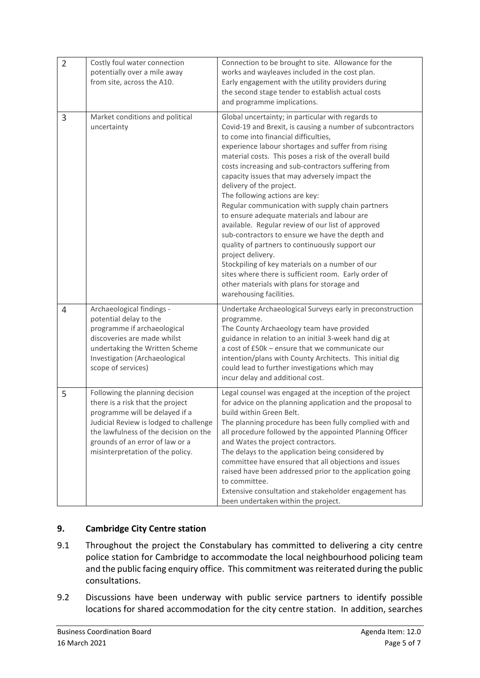| $\overline{2}$ | Costly foul water connection<br>potentially over a mile away<br>from site, across the A10.                                                                                                                                                                      | Connection to be brought to site. Allowance for the<br>works and wayleaves included in the cost plan.<br>Early engagement with the utility providers during<br>the second stage tender to establish actual costs<br>and programme implications.                                                                                                                                                                                                                                                                                                                                                                                                                                                                                                                                                                                                                                                                      |
|----------------|-----------------------------------------------------------------------------------------------------------------------------------------------------------------------------------------------------------------------------------------------------------------|----------------------------------------------------------------------------------------------------------------------------------------------------------------------------------------------------------------------------------------------------------------------------------------------------------------------------------------------------------------------------------------------------------------------------------------------------------------------------------------------------------------------------------------------------------------------------------------------------------------------------------------------------------------------------------------------------------------------------------------------------------------------------------------------------------------------------------------------------------------------------------------------------------------------|
| 3              | Market conditions and political<br>uncertainty                                                                                                                                                                                                                  | Global uncertainty; in particular with regards to<br>Covid-19 and Brexit, is causing a number of subcontractors<br>to come into financial difficulties,<br>experience labour shortages and suffer from rising<br>material costs. This poses a risk of the overall build<br>costs increasing and sub-contractors suffering from<br>capacity issues that may adversely impact the<br>delivery of the project.<br>The following actions are key:<br>Regular communication with supply chain partners<br>to ensure adequate materials and labour are<br>available. Regular review of our list of approved<br>sub-contractors to ensure we have the depth and<br>quality of partners to continuously support our<br>project delivery.<br>Stockpiling of key materials on a number of our<br>sites where there is sufficient room. Early order of<br>other materials with plans for storage and<br>warehousing facilities. |
| 4              | Archaeological findings -<br>potential delay to the<br>programme if archaeological<br>discoveries are made whilst<br>undertaking the Written Scheme<br>Investigation (Archaeological<br>scope of services)                                                      | Undertake Archaeological Surveys early in preconstruction<br>programme.<br>The County Archaeology team have provided<br>guidance in relation to an initial 3-week hand dig at<br>a cost of £50k - ensure that we communicate our<br>intention/plans with County Architects. This initial dig<br>could lead to further investigations which may<br>incur delay and additional cost.                                                                                                                                                                                                                                                                                                                                                                                                                                                                                                                                   |
| 5              | Following the planning decision<br>there is a risk that the project<br>programme will be delayed if a<br>Judicial Review is lodged to challenge<br>the lawfulness of the decision on the<br>grounds of an error of law or a<br>misinterpretation of the policy. | Legal counsel was engaged at the inception of the project<br>for advice on the planning application and the proposal to<br>build within Green Belt.<br>The planning procedure has been fully complied with and<br>all procedure followed by the appointed Planning Officer<br>and Wates the project contractors.<br>The delays to the application being considered by<br>committee have ensured that all objections and issues<br>raised have been addressed prior to the application going<br>to committee.<br>Extensive consultation and stakeholder engagement has<br>been undertaken within the project.                                                                                                                                                                                                                                                                                                         |

# **9. Cambridge City Centre station**

- 9.1 Throughout the project the Constabulary has committed to delivering a city centre police station for Cambridge to accommodate the local neighbourhood policing team and the public facing enquiry office. This commitment was reiterated during the public consultations.
- 9.2 Discussions have been underway with public service partners to identify possible locations for shared accommodation for the city centre station. In addition, searches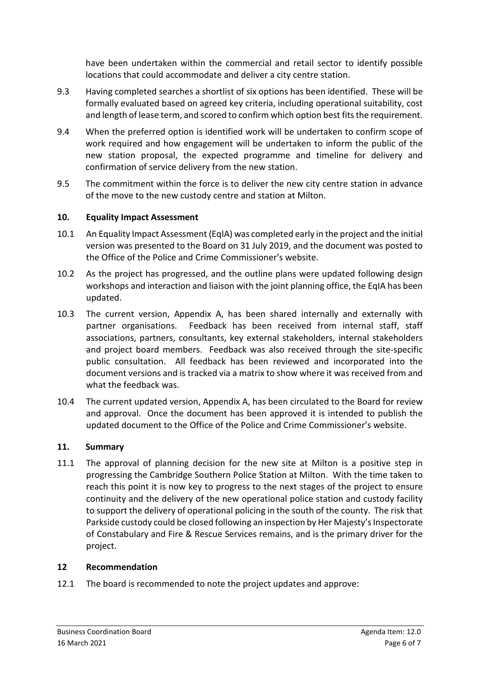have been undertaken within the commercial and retail sector to identify possible locations that could accommodate and deliver a city centre station.

- 9.3 Having completed searches a shortlist of six options has been identified. These will be formally evaluated based on agreed key criteria, including operational suitability, cost and length of lease term, and scored to confirm which option best fits the requirement.
- 9.4 When the preferred option is identified work will be undertaken to confirm scope of work required and how engagement will be undertaken to inform the public of the new station proposal, the expected programme and timeline for delivery and confirmation of service delivery from the new station.
- 9.5 The commitment within the force is to deliver the new city centre station in advance of the move to the new custody centre and station at Milton.

# **10. Equality Impact Assessment**

- 10.1 An Equality Impact Assessment (EqIA) was completed early in the project and the initial version was presented to the Board on 31 July 2019, and the document was posted to the Office of the Police and Crime Commissioner's website.
- 10.2 As the project has progressed, and the outline plans were updated following design workshops and interaction and liaison with the joint planning office, the EqIA has been updated.
- 10.3 The current version, Appendix A, has been shared internally and externally with partner organisations. Feedback has been received from internal staff, staff associations, partners, consultants, key external stakeholders, internal stakeholders and project board members. Feedback was also received through the site-specific public consultation. All feedback has been reviewed and incorporated into the document versions and is tracked via a matrix to show where it was received from and what the feedback was.
- 10.4 The current updated version, Appendix A, has been circulated to the Board for review and approval. Once the document has been approved it is intended to publish the updated document to the Office of the Police and Crime Commissioner's website.

# **11. Summary**

11.1 The approval of planning decision for the new site at Milton is a positive step in progressing the Cambridge Southern Police Station at Milton. With the time taken to reach this point it is now key to progress to the next stages of the project to ensure continuity and the delivery of the new operational police station and custody facility to support the delivery of operational policing in the south of the county. The risk that Parkside custody could be closed following an inspection by Her Majesty's Inspectorate of Constabulary and Fire & Rescue Services remains, and is the primary driver for the project.

#### **12 Recommendation**

12.1 The board is recommended to note the project updates and approve: